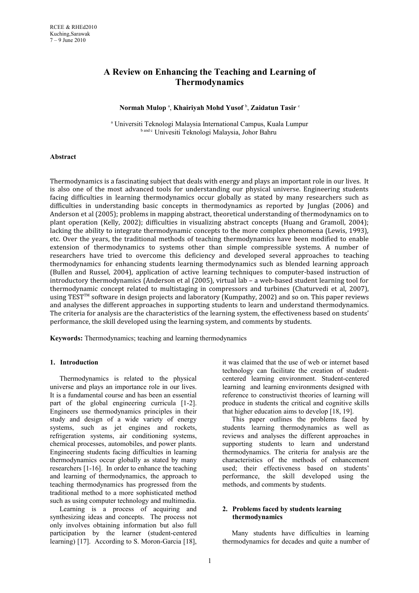# **A Review on Enhancing the Teaching and Learning of Thermodynamics**

#### **Normah Mulop** <sup>a</sup> , **Khairiyah Mohd Yusof** <sup>b</sup> , **Zaidatun Tasir** <sup>c</sup>

a Universiti Teknologi Malaysia International Campus, Kuala Lumpur b and c Univesiti Teknologi Malaysia, Johor Bahru

#### **Abstract**

Thermodynamics is a fascinating subject that deals with energy and plays an important role in our lives. It is also one of the most advanced tools for understanding our physical universe. Engineering students facing difficulties in learning thermodynamics occur globally as stated by many researchers such as difficulties in understanding basic concepts in thermodynamics as reported by Junglas (2006) and Anderson et al (2005); problems in mapping abstract, theoretical understanding of thermodynamics on to plant operation (Kelly, 2002); difficulties in visualizing abstract concepts (Huang and Gramoll, 2004); lacking the ability to integrate thermodynamic concepts to the more complex phenomena (Lewis, 1993), etc. Over the years, the traditional methods of teaching thermodynamics have been modified to enable extension of thermodynamics to systems other than simple compressible systems. A number of researchers have tried to overcome this deficiency and developed several approaches to teaching thermodynamics for enhancing students learning thermodynamics such as blended learning approach (Bullen and Russel, 2004), application of active learning techniques to computer-based instruction of introductory thermodynamics (Anderson et al (2005), virtual lab – a web-based student learning tool for thermodynamic concept related to multistaging in compressors and turbines (Chaturvedi et al, 2007), using TEST™ software in design projects and laboratory (Kumpathy, 2002) and so on. This paper reviews and analyses the different approaches in supporting students to learn and understand thermodynamics. The criteria for analysis are the characteristics of the learning system, the effectiveness based on students' performance, the skill developed using the learning system, and comments by students.

**Keywords:** Thermodynamics; teaching and learning thermodynamics

### **1. Introduction**

Thermodynamics is related to the physical universe and plays an importance role in our lives. It is a fundamental course and has been an essential part of the global engineering curricula [1-2]. Engineers use thermodynamics principles in their study and design of a wide variety of energy systems, such as jet engines and rockets, refrigeration systems, air conditioning systems, chemical processes, automobiles, and power plants. Engineering students facing difficulties in learning thermodynamics occur globally as stated by many researchers [1-16]. In order to enhance the teaching and learning of thermodynamics, the approach to teaching thermodynamics has progressed from the traditional method to a more sophisticated method such as using computer technology and multimedia.

Learning is a process of acquiring and synthesizing ideas and concepts. The process not only involves obtaining information but also full participation by the learner (student-centered learning) [17]. According to S. Moron-Garcia [18], it was claimed that the use of web or internet based technology can facilitate the creation of studentcentered learning environment. Student-centered learning and learning environments designed with reference to constructivist theories of learning will produce in students the critical and cognitive skills that higher education aims to develop [18, 19].

This paper outlines the problems faced by students learning thermodynamics as well as reviews and analyses the different approaches in supporting students to learn and understand thermodynamics. The criteria for analysis are the characteristics of the methods of enhancement used; their effectiveness based on students' performance, the skill developed using the methods, and comments by students.

### **2. Problems faced by students learning thermodynamics**

Many students have difficulties in learning thermodynamics for decades and quite a number of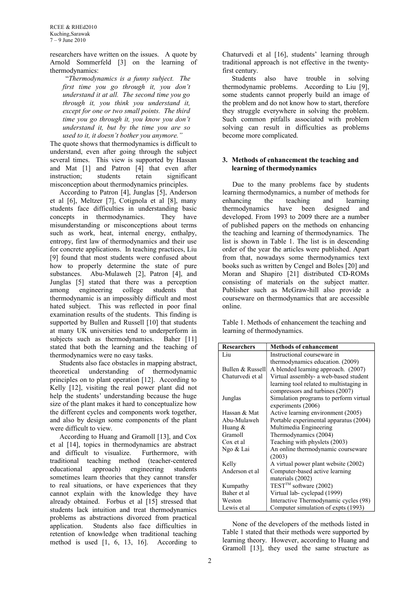RCEE & RHEd2010 Kuching,Sarawak 7 – 9 June 2010

researchers have written on the issues. A quote by Arnold Sommerfeld [3] on the learning of thermodynamics:

 "*Thermodynamics is a funny subject. The first time you go through it, you don't understand it at all. The second time you go through it, you think you understand it, except for one or two small points. The third time you go through it, you know you don't understand it, but by the time you are so used to it, it doesn't bother you anymore."* 

The quote shows that thermodynamics is difficult to understand, even after going through the subject several times. This view is supported by Hassan and Mat [1] and Patron [4] that even after instruction; students retain significant misconception about thermodynamics principles.

According to Patron [4], Junglas [5], Anderson et al [6], Meltzer [7], Cotignola et al [8], many students face difficulties in understanding basic concepts in thermodynamics. They have misunderstanding or misconceptions about terms such as work, heat, internal energy, enthalpy, entropy, first law of thermodynamics and their use for concrete applications. In teaching practices, Liu [9] found that most students were confused about how to properly determine the state of pure substances. Abu-Mulaweh [2], Patron [4], and Junglas [5] stated that there was a perception among engineering college students that thermodynamic is an impossibly difficult and most hated subject. This was reflected in poor final examination results of the students. This finding is supported by Bullen and Russell [10] that students at many UK universities tend to underperform in subjects such as thermodynamics. Baher [11] stated that both the learning and the teaching of thermodynamics were no easy tasks.

Students also face obstacles in mapping abstract, theoretical understanding of thermodynamic principles on to plant operation [12]. According to Kelly [12], visiting the real power plant did not help the students' understanding because the huge size of the plant makes it hard to conceptualize how the different cycles and components work together, and also by design some components of the plant were difficult to view.

According to Huang and Gramoll [13], and Cox et al [14], topics in thermodynamics are abstract and difficult to visualize. Furthermore, with traditional teaching method (teacher-centered educational approach) engineering students sometimes learn theories that they cannot transfer to real situations, or have experiences that they cannot explain with the knowledge they have already obtained. Forbus et al [15] stressed that students lack intuition and treat thermodynamics problems as abstractions divorced from practical application. Students also face difficulties in retention of knowledge when traditional teaching method is used [1, 6, 13, 16]. According to Chaturvedi et al [16], students' learning through traditional approach is not effective in the twentyfirst century.

Students also have trouble in solving thermodynamic problems. According to Liu [9], some students cannot properly build an image of the problem and do not know how to start, therefore they struggle everywhere in solving the problem. Such common pitfalls associated with problem solving can result in difficulties as problems become more complicated.

### **3. Methods of enhancement the teaching and learning of thermodynamics**

Due to the many problems face by students learning thermodynamics, a number of methods for enhancing the teaching and learning thermodynamics have been designed and developed. From 1993 to 2009 there are a number of published papers on the methods on enhancing the teaching and learning of thermodynamics. The list is shown in Table 1. The list is in descending order of the year the articles were published. Apart from that, nowadays some thermodynamics text books such as written by Cengel and Boles [20] and Moran and Shapiro [21] distributed CD-ROMs consisting of materials on the subject matter. Publisher such as McGraw-hill also provide a courseware on thermodynamics that are accessible online.

Table 1. Methods of enhancement the teaching and learning of thermodynamics.

| <b>Researchers</b> | <b>Methods of enhancement</b>            |
|--------------------|------------------------------------------|
| Liu                | Instructional courseware in              |
|                    | thermodynamics education. (2009)         |
| Bullen & Russell   | A blended learning approach. (2007)      |
| Chaturvedi et al   | Virtual assembly- a web-based student    |
|                    | learning tool related to multistaging in |
|                    | compressors and turbines (2007)          |
| Junglas            | Simulation programs to perform virtual   |
|                    | experiments (2006)                       |
| Hassan & Mat       | Active learning environment (2005)       |
| Abu-Mulaweh        | Portable experimental apparatus (2004)   |
| Huang $\&$         | Multimedia Engineering                   |
| Gramoll            | Thermodynamics (2004)                    |
| Cox et al          | Teaching with physlets (2003)            |
| Ngo & Lai          | An online thermodynamic courseware       |
|                    | (2003)                                   |
| Kelly              | A virtual power plant website (2002)     |
| Anderson et al     | Computer-based active learning           |
|                    | materials (2002)                         |
| Kumpathy           | TEST <sup>™</sup> software (2002)        |
| Baher et al        | Virtual lab-cyclepad (1999)              |
| Weston             | Interactive Thermodynamic cycles (98)    |
| Lewis et al        | Computer simulation of expts (1993)      |

None of the developers of the methods listed in Table 1 stated that their methods were supported by learning theory. However, according to Huang and Gramoll [13], they used the same structure as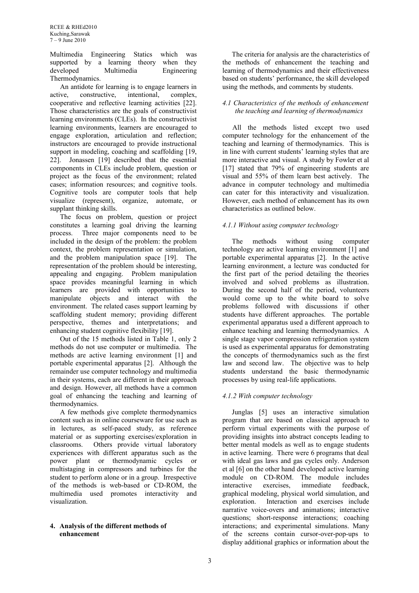Multimedia Engineering Statics which was supported by a learning theory when they developed Multimedia Engineering Thermodynamics.

An antidote for learning is to engage learners in active, constructive, intentional, complex, cooperative and reflective learning activities [22]. Those characteristics are the goals of constructivist learning environments (CLEs). In the constructivist learning environments, learners are encouraged to engage exploration, articulation and reflection; instructors are encouraged to provide instructional support in modeling, coaching and scaffolding [19, 22]. Jonassen [19] described that the essential components in CLEs include problem, question or project as the focus of the environment; related cases; information resources; and cognitive tools. Cognitive tools are computer tools that help visualize (represent), organize, automate, or supplant thinking skills.

The focus on problem, question or project constitutes a learning goal driving the learning process. Three major components need to be included in the design of the problem: the problem context, the problem representation or simulation, and the problem manipulation space [19]. The representation of the problem should be interesting, appealing and engaging. Problem manipulation space provides meaningful learning in which learners are provided with opportunities to manipulate objects and interact with the environment. The related cases support learning by scaffolding student memory; providing different perspective, themes and interpretations; and enhancing student cognitive flexibility [19].

Out of the 15 methods listed in Table 1, only 2 methods do not use computer or multimedia. The methods are active learning environment [1] and portable experimental apparatus [2]. Although the remainder use computer technology and multimedia in their systems, each are different in their approach and design. However, all methods have a common goal of enhancing the teaching and learning of thermodynamics.

A few methods give complete thermodynamics content such as in online courseware for use such as in lectures, as self-paced study, as reference material or as supporting exercises/exploration in classrooms. Others provide virtual laboratory experiences with different apparatus such as the power plant or thermodynamic cycles or multistaging in compressors and turbines for the student to perform alone or in a group. Irrespective of the methods is web-based or CD-ROM, the multimedia used promotes interactivity and visualization.

#### **4. Analysis of the different methods of enhancement**

The criteria for analysis are the characteristics of the methods of enhancement the teaching and learning of thermodynamics and their effectiveness based on students' performance, the skill developed using the methods, and comments by students.

### *4.1 Characteristics of the methods of enhancement the teaching and learning of thermodynamics*

All the methods listed except two used computer technology for the enhancement of the teaching and learning of thermodynamics. This is in line with current students' learning styles that are more interactive and visual. A study by Fowler et al [17] stated that 79% of engineering students are visual and 55% of them learn best actively. The advance in computer technology and multimedia can cater for this interactivity and visualization. However, each method of enhancement has its own characteristics as outlined below.

# *4.1.1 Without using computer technology*

The methods without using computer technology are active learning environment [1] and portable experimental apparatus [2]. In the active learning environment, a lecture was conducted for the first part of the period detailing the theories involved and solved problems as illustration. During the second half of the period, volunteers would come up to the white board to solve problems followed with discussions if other students have different approaches. The portable experimental apparatus used a different approach to enhance teaching and learning thermodynamics. A single stage vapor compression refrigeration system is used as experimental apparatus for demonstrating the concepts of thermodynamics such as the first law and second law. The objective was to help students understand the basic thermodynamic processes by using real-life applications.

### *4.1.2 With computer technology*

Junglas [5] uses an interactive simulation program that are based on classical approach to perform virtual experiments with the purpose of providing insights into abstract concepts leading to better mental models as well as to engage students in active learning. There were 6 programs that deal with ideal gas laws and gas cycles only. Anderson et al [6] on the other hand developed active learning module on CD-ROM. The module includes interactive exercises, immediate feedback, graphical modeling, physical world simulation, and exploration. Interaction and exercises include narrative voice-overs and animations; interactive questions; short-response interactions; coaching interactions; and experimental simulations. Many of the screens contain cursor-over-pop-ups to display additional graphics or information about the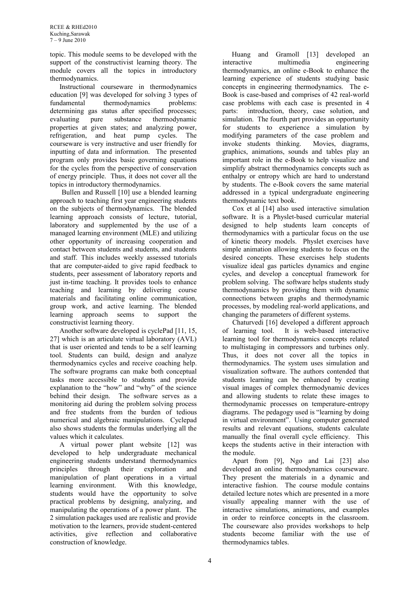topic. This module seems to be developed with the support of the constructivist learning theory. The module covers all the topics in introductory thermodynamics.

Instructional courseware in thermodynamics education [9] was developed for solving 3 types of fundamental thermodynamics problems: determining gas status after specified processes; evaluating pure substance thermodynamic properties at given states; and analyzing power, refrigeration, and heat pump cycles. The courseware is very instructive and user friendly for inputting of data and information. The presented program only provides basic governing equations for the cycles from the perspective of conservation of energy principle. Thus, it does not cover all the topics in introductory thermodynamics.

 Bullen and Russell [10] use a blended learning approach to teaching first year engineering students on the subjects of thermodynamics. The blended learning approach consists of lecture, tutorial, laboratory and supplemented by the use of a managed learning environment (MLE) and utilizing other opportunity of increasing cooperation and contact between students and students, and students and staff. This includes weekly assessed tutorials that are computer-aided to give rapid feedback to students, peer assessment of laboratory reports and just in-time teaching. It provides tools to enhance teaching and learning by delivering course materials and facilitating online communication, group work, and active learning. The blended learning approach seems to support the constructivist learning theory.

Another software developed is cyclePad [11, 15, 27] which is an articulate virtual laboratory (AVL) that is user oriented and tends to be a self learning tool. Students can build, design and analyze thermodynamics cycles and receive coaching help. The software programs can make both conceptual tasks more accessible to students and provide explanation to the "how" and "why" of the science behind their design. The software serves as a monitoring aid during the problem solving process and free students from the burden of tedious numerical and algebraic manipulations. Cyclepad also shows students the formulas underlying all the values which it calculates.

A virtual power plant website [12] was developed to help undergraduate mechanical engineering students understand thermodynamics principles through their exploration and manipulation of plant operations in a virtual learning environment. With this knowledge, students would have the opportunity to solve practical problems by designing, analyzing, and manipulating the operations of a power plant. The 2 simulation packages used are realistic and provide motivation to the learners, provide student-centered activities, give reflection and collaborative construction of knowledge.

Huang and Gramoll [13] developed an interactive multimedia engineering thermodynamics, an online e-Book to enhance the learning experience of students studying basic concepts in engineering thermodynamics. The e-Book is case-based and comprises of 42 real-world case problems with each case is presented in 4 parts: introduction, theory, case solution, and simulation. The fourth part provides an opportunity for students to experience a simulation by modifying parameters of the case problem and invoke students thinking. Movies, diagrams, graphics, animations, sounds and tables play an important role in the e-Book to help visualize and simplify abstract thermodynamics concepts such as enthalpy or entropy which are hard to understand by students. The e-Book covers the same material addressed in a typical undergraduate engineering thermodynamic text book.

Cox et al [14] also used interactive simulation software. It is a Physlet-based curricular material designed to help students learn concepts of thermodynamics with a particular focus on the use of kinetic theory models. Physlet exercises have simple animation allowing students to focus on the desired concepts. These exercises help students visualize ideal gas particles dynamics and engine cycles, and develop a conceptual framework for problem solving. The software helps students study thermodynamics by providing them with dynamic connections between graphs and thermodynamic processes, by modeling real-world applications, and changing the parameters of different systems.

Chaturvedi [16] developed a different approach of learning tool. It is web-based interactive learning tool for thermodynamics concepts related to multistaging in compressors and turbines only. Thus, it does not cover all the topics in thermodynamics. The system uses simulation and visualization software. The authors contended that students learning can be enhanced by creating visual images of complex thermodynamic devices and allowing students to relate these images to thermodynamic processes on temperature-entropy diagrams. The pedagogy used is "learning by doing in virtual environment". Using computer generated results and relevant equations, students calculate manually the final overall cycle efficiency. This keeps the students active in their interaction with the module.

Apart from [9], Ngo and Lai [23] also developed an online thermodynamics courseware. They present the materials in a dynamic and interactive fashion. The course module contains detailed lecture notes which are presented in a more visually appealing manner with the use of interactive simulations, animations, and examples in order to reinforce concepts in the classroom. The courseware also provides workshops to help students become familiar with the use of thermodynamics tables.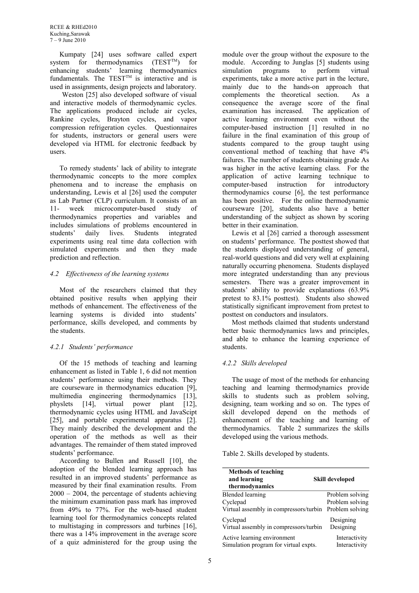Kumpaty [24] uses software called expert system for thermodynamics  $(TEST^{TM})$  for enhancing students' learning thermodynamics fundamentals. The TEST<sup>TM</sup> is interactive and is used in assignments, design projects and laboratory.

 Weston [25] also developed software of visual and interactive models of thermodynamic cycles. The applications produced include air cycles, Rankine cycles, Brayton cycles, and vapor compression refrigeration cycles. Questionnaires for students, instructors or general users were developed via HTML for electronic feedback by users.

To remedy students' lack of ability to integrate thermodynamic concepts to the more complex phenomena and to increase the emphasis on understanding, Lewis et al [26] used the computer as Lab Partner (CLP) curriculum. It consists of an 11- week microcomputer-based study of thermodynamics properties and variables and includes simulations of problems encountered in students' daily lives. Students integrated experiments using real time data collection with simulated experiments and then they made prediction and reflection.

### *4.2 Effectiveness of the learning systems*

Most of the researchers claimed that they obtained positive results when applying their methods of enhancement. The effectiveness of the learning systems is divided into students' performance, skills developed, and comments by the students.

### *4.2.1 Students' performance*

Of the 15 methods of teaching and learning enhancement as listed in Table 1, 6 did not mention students' performance using their methods. They are courseware in thermodynamics education [9], multimedia engineering thermodynamics [13],<br>physlets [14], virtual power plant [12], physlets  $[14]$ , virtual power thermodynamic cycles using HTML and JavaScipt [25], and portable experimental apparatus [2]. They mainly described the development and the operation of the methods as well as their advantages. The remainder of them stated improved students' performance.

According to Bullen and Russell [10], the adoption of the blended learning approach has resulted in an improved students' performance as measured by their final examination results. From 2000 – 2004, the percentage of students achieving the minimum examination pass mark has improved from 49% to 77%. For the web-based student learning tool for thermodynamics concepts related to multistaging in compressors and turbines [16], there was a 14% improvement in the average score of a quiz administered for the group using the module over the group without the exposure to the module. According to Junglas [5] students using simulation programs to perform virtual experiments, take a more active part in the lecture, mainly due to the hands-on approach that complements the theoretical section. As a consequence the average score of the final examination has increased. The application of active learning environment even without the computer-based instruction [1] resulted in no failure in the final examination of this group of students compared to the group taught using conventional method of teaching that have 4% failures. The number of students obtaining grade As was higher in the active learning class. For the application of active learning technique to computer-based instruction for introductory thermodynamics course [6], the test performance has been positive. For the online thermodynamic courseware [20], students also have a better understanding of the subject as shown by scoring better in their examination.

Lewis et al [26] carried a thorough assessment on students' performance. The posttest showed that the students displayed understanding of general, real-world questions and did very well at explaining naturally occurring phenomena. Students displayed more integrated understanding than any previous semesters. There was a greater improvement in students' ability to provide explanations (63.9% pretest to 83.1% posttest). Students also showed statistically significant improvement from pretest to posttest on conductors and insulators.

Most methods claimed that students understand better basic thermodynamics laws and principles, and able to enhance the learning experience of students.

# *4.2.2 Skills developed*

The usage of most of the methods for enhancing teaching and learning thermodynamics provide skills to students such as problem solving, designing, team working and so on. The types of skill developed depend on the methods of enhancement of the teaching and learning of thermodynamics. Table 2 summarizes the skills developed using the various methods.

Table 2. Skills developed by students.

| <b>Methods of teaching</b><br>and learning<br>thermodynamics | Skill developed |
|--------------------------------------------------------------|-----------------|
| <b>Blended</b> learning                                      | Problem solving |
| Cyclepad                                                     | Problem solving |
| Virtual assembly in compressors/turbin                       | Problem solving |
| Cyclepad                                                     | Designing       |
| Virtual assembly in compressors/turbin                       | Designing       |
| Active learning environment                                  | Interactivity   |
| Simulation program for virtual expts.                        | Interactivity   |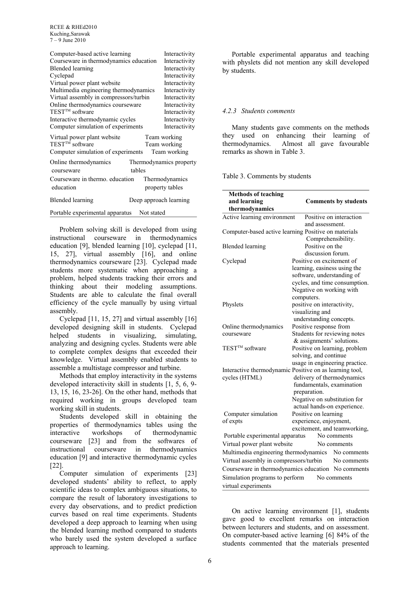| Computer-based active learning         |               | Interactivity           |
|----------------------------------------|---------------|-------------------------|
| Courseware in thermodynamics education | Interactivity |                         |
| <b>Blended</b> learning                | Interactivity |                         |
| Cyclepad                               |               | Interactivity           |
| Virtual power plant website            | Interactivity |                         |
| Multimedia engineering thermodynamics  | Interactivity |                         |
| Virtual assembly in compressors/turbin | Interactivity |                         |
| Online thermodynamics courseware       | Interactivity |                         |
| TEST <sup>™</sup> software             |               | Interactivity           |
| Interactive thermodynamic cycles       | Interactivity |                         |
| Computer simulation of experiments     |               | Interactivity           |
| Virtual power plant website            |               | Team working            |
| TEST <sup>™</sup> software             |               | Team working            |
| Computer simulation of experiments     |               | Team working            |
| Online thermodynamics                  |               | Thermodynamics property |
| courseware                             | tables        |                         |
| Courseware in thermo. education        |               | Thermodynamics          |
| education                              |               | property tables         |
| Blended learning                       |               | Deep approach learning  |
| Portable experimental apparatus        | Not stated    |                         |

Problem solving skill is developed from using instructional courseware in thermodynamics education [9], blended learning [10], cyclepad [11, 15, 27], virtual assembly [16], and online thermodynamics courseware [23]. Cyclepad made students more systematic when approaching a problem, helped students tracking their errors and thinking about their modeling assumptions. Students are able to calculate the final overall efficiency of the cycle manually by using virtual assembly.

Cyclepad [11, 15, 27] and virtual assembly [16] developed designing skill in students. Cyclepad helped students in visualizing, simulating, analyzing and designing cycles. Students were able to complete complex designs that exceeded their knowledge. Virtual assembly enabled students to assemble a multistage compressor and turbine.

Methods that employ interactivity in the systems developed interactivity skill in students [1, 5, 6, 9- 13, 15, 16, 23-26]. On the other hand, methods that required working in groups developed team working skill in students.

Students developed skill in obtaining the properties of thermodynamics tables using the interactive workshops of thermodynamic courseware [23] and from the softwares of instructional courseware in thermodynamics education [9] and interactive thermodynamic cycles [22].

Computer simulation of experiments [23] developed students' ability to reflect, to apply scientific ideas to complex ambiguous situations, to compare the result of laboratory investigations to every day observations, and to predict prediction curves based on real time experiments. Students developed a deep approach to learning when using the blended learning method compared to students who barely used the system developed a surface approach to learning.

Portable experimental apparatus and teaching with physlets did not mention any skill developed by students.

#### *4.2.3 Students comments*

Many students gave comments on the methods they used on enhancing their learning of thermodynamics. Almost all gave favourable remarks as shown in Table 3.

Table 3. Comments by students

| <b>Methods of teaching</b>                            |                                                                                       |  |  |
|-------------------------------------------------------|---------------------------------------------------------------------------------------|--|--|
| and learning                                          | <b>Comments by students</b>                                                           |  |  |
| thermodynamics                                        |                                                                                       |  |  |
| Active learning environment                           | Positive on interaction                                                               |  |  |
|                                                       | and assessment.                                                                       |  |  |
|                                                       | Computer-based active learning Positive on materials                                  |  |  |
|                                                       | Comprehensibility.                                                                    |  |  |
| <b>Blended learning</b>                               | Positive on the                                                                       |  |  |
|                                                       | discussion forum.                                                                     |  |  |
| Cyclepad                                              | Positive on excitement of                                                             |  |  |
|                                                       | learning, easiness using the                                                          |  |  |
|                                                       | software, understanding of<br>cycles, and time consumption.                           |  |  |
|                                                       | Negative on working with                                                              |  |  |
|                                                       | computers.                                                                            |  |  |
| Physlets                                              | positive on interactivity,                                                            |  |  |
|                                                       | visualizing and                                                                       |  |  |
|                                                       | understanding concepts.                                                               |  |  |
| Online thermodynamics                                 | Positive response from                                                                |  |  |
| courseware                                            | Students for reviewing notes                                                          |  |  |
|                                                       | & assignments' solutions.                                                             |  |  |
| TEST™ software                                        | Positive on learning, problem                                                         |  |  |
|                                                       | solving, and continue                                                                 |  |  |
|                                                       | usage in engineering practice.                                                        |  |  |
| cycles (HTML)                                         | Interactive thermodynamic Positive on as learning tool,<br>delivery of thermodynamics |  |  |
|                                                       | fundamentals, examination                                                             |  |  |
|                                                       | preparation.                                                                          |  |  |
|                                                       | Negative on substitution for                                                          |  |  |
|                                                       | actual hands-on experience.                                                           |  |  |
| Computer simulation                                   | Positive on learning                                                                  |  |  |
| of expts                                              | experience, enjoyment,                                                                |  |  |
|                                                       | excitement, and teamworking,                                                          |  |  |
| Portable experimental apparatus                       | No comments                                                                           |  |  |
| Virtual power plant website<br>No comments            |                                                                                       |  |  |
| Multimedia engineering thermodynamics<br>No comments  |                                                                                       |  |  |
| Virtual assembly in compressors/turbin<br>No comments |                                                                                       |  |  |
| Courseware in thermodynamics education No comments    |                                                                                       |  |  |
| Simulation programs to perform<br>No comments         |                                                                                       |  |  |
| virtual experiments                                   |                                                                                       |  |  |

On active learning environment [1], students gave good to excellent remarks on interaction between lecturers and students, and on assessment. On computer-based active learning [6] 84% of the students commented that the materials presented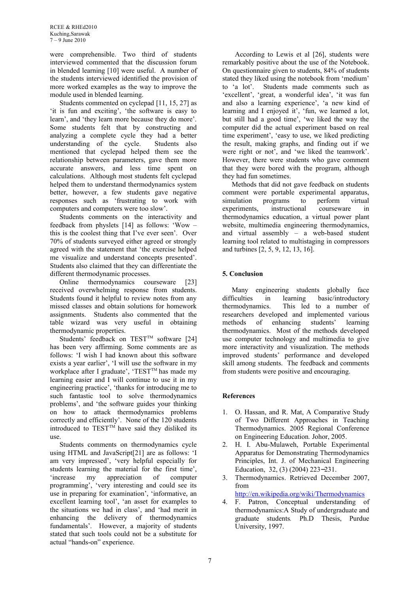were comprehensible. Two third of students interviewed commented that the discussion forum in blended learning [10] were useful. A number of the students interviewed identified the provision of more worked examples as the way to improve the module used in blended learning.

Students commented on cyclepad [11, 15, 27] as 'it is fun and exciting', 'the software is easy to learn', and 'they learn more because they do more'. Some students felt that by constructing and analyzing a complete cycle they had a better understanding of the cycle. Students also mentioned that cyclepad helped them see the relationship between parameters, gave them more accurate answers, and less time spent on calculations. Although most students felt cyclepad helped them to understand thermodynamics system better, however, a few students gave negative responses such as 'frustrating to work with computers and computers were too slow'.

Students comments on the interactivity and feedback from physlets [14] as follows: 'Wow – this is the coolest thing that I've ever seen'. Over 70% of students surveyed either agreed or strongly agreed with the statement that 'the exercise helped me visualize and understand concepts presented'. Students also claimed that they can differentiate the different thermodynamic processes.

Online thermodynamics courseware [23] received overwhelming response from students. Students found it helpful to review notes from any missed classes and obtain solutions for homework assignments. Students also commented that the table wizard was very useful in obtaining thermodynamic properties.

Students' feedback on TEST<sup>TM</sup> software [24] has been very affirming. Some comments are as follows: 'I wish I had known about this software exists a year earlier', 'I will use the software in my workplace after I graduate', 'TEST<sup>TM</sup> has made my learning easier and I will continue to use it in my engineering practice', 'thanks for introducing me to such fantastic tool to solve thermodynamics problems', and 'the software guides your thinking on how to attack thermodynamics problems correctly and efficiently'. None of the 120 students introduced to  $TEST^{TM}$  have said they disliked its use.

Students comments on thermodynamics cycle using HTML and JavaScript[21] are as follows: 'I am very impressed', 'very helpful especially for students learning the material for the first time', 'increase my appreciation of computer programming', 'very interesting and could see its use in preparing for examination', 'informative, an excellent learning tool', 'an asset for examples to the situations we had in class', and 'had merit in enhancing the delivery of thermodynamics fundamentals'. However, a majority of students stated that such tools could not be a substitute for actual "hands-on" experience.

 According to Lewis et al [26], students were remarkably positive about the use of the Notebook. On questionnaire given to students, 84% of students stated they liked using the notebook from 'medium' to 'a lot'. Students made comments such as 'excellent', 'great, a wonderful idea', 'it was fun and also a learning experience', 'a new kind of learning and I enjoyed it', 'fun, we learned a lot, but still had a good time', 'we liked the way the computer did the actual experiment based on real time experiment', 'easy to use, we liked predicting the result, making graphs, and finding out if we were right or not', and 'we liked the teamwork'. However, there were students who gave comment that they were bored with the program, although they had fun sometimes.

Methods that did not gave feedback on students comment were portable experimental apparatus, simulation programs to perform virtual experiments, instructional courseware in thermodynamics education, a virtual power plant website, multimedia engineering thermodynamics, and virtual assembly – a web-based student learning tool related to multistaging in compressors and turbines [2, 5, 9, 12, 13, 16].

# **5. Conclusion**

Many engineering students globally face difficulties in learning basic/introductory thermodynamics. This led to a number of researchers developed and implemented various methods of enhancing students' learning thermodynamics. Most of the methods developed use computer technology and multimedia to give more interactivity and visualization. The methods improved students' performance and developed skill among students. The feedback and comments from students were positive and encouraging.

# **References**

- 1. O. Hassan, and R. Mat, A Comparative Study of Two Different Approaches in Teaching Thermodynamics. 2005 Regional Conference on Engineering Education*.* Johor, 2005.
- 2. H. I. Abu-Mulaweh, Portable Experimental Apparatus for Demonstrating Thermodynamics Principles, Int. J. of Mechanical Engineering Education, 32, (3) (2004) 223−231.
- 3. Thermodynamics. Retrieved December 2007, from

<http://en.wikipedia.org/wiki/Thermodynamics>

4. F. Patron, Conceptual understanding of thermodynamics:A Study of undergraduate and graduate students*.* Ph.D Thesis, Purdue University, 1997.